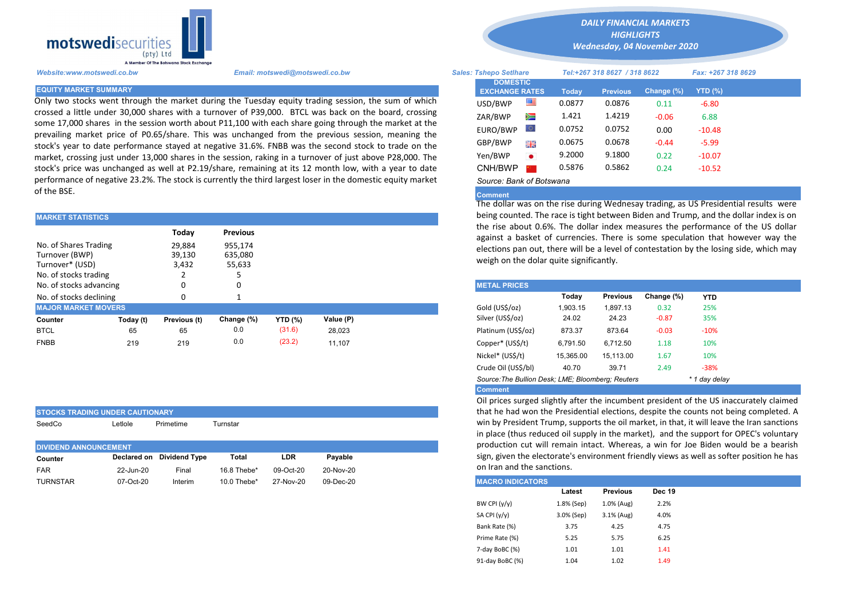

Only two stocks went through the market during the Tuesday equity trading session, the sum of which crossed a little under 30,000 shares with a turnover of P39,000. BTCL was back on the board, crossing some 17,000 shares in the session worth about P11,100 with each share going through the market at the prevailing market price of P0.65/share. This was unchanged from the previous session, meaning the stock's year to date performance stayed at negative 31.6%. FNBB was the second stock to trade on the market, crossing just under 13,000 shares in the session, raking in a turnover of just above P28,000. The stock's price was unchanged as well at P2.19/share, remaining at its 12 month low, with a year to date performance of negative 23.2%. The stock is currently the third largest loser in the domestic equity market of the BSE.

| <b>MARKET STATISTICS</b>                                                            |           |                           |                              | being counted. The race is tight between Biden and Trump, and the o |           |                                                                                                                                     |                                                      |          |         |        |  |  |
|-------------------------------------------------------------------------------------|-----------|---------------------------|------------------------------|---------------------------------------------------------------------|-----------|-------------------------------------------------------------------------------------------------------------------------------------|------------------------------------------------------|----------|---------|--------|--|--|
|                                                                                     |           | Today                     | <b>Previous</b>              |                                                                     |           | the rise about 0.6%. The dollar index measures the performance<br>against a basket of currencies. There is some speculation that he |                                                      |          |         |        |  |  |
| No. of Shares Trading<br>Turnover (BWP)<br>Turnover* (USD)<br>No. of stocks trading |           | 29.884<br>39,130<br>3,432 | 955.174<br>635,080<br>55,633 |                                                                     |           | elections pan out, there will be a level of contestation by the losing<br>weigh on the dolar quite significantly.                   |                                                      |          |         |        |  |  |
| No. of stocks advancing                                                             |           | 0                         |                              |                                                                     |           | <b>METAL PRICES</b>                                                                                                                 |                                                      |          |         |        |  |  |
| No. of stocks declining                                                             |           |                           |                              |                                                                     |           |                                                                                                                                     | Today<br>Change (%)<br><b>Previous</b><br><b>YTD</b> |          |         |        |  |  |
| <b>MAJOR MARKET MOVERS</b>                                                          |           |                           |                              |                                                                     |           | Gold (US\$/oz)                                                                                                                      | 1.903.15                                             | 1.897.13 | 0.32    | 25%    |  |  |
| Counter                                                                             | Today (t) | Previous (t)              | Change (%)                   | YTD (%)                                                             | Value (P) | Silver (US\$/oz)                                                                                                                    | 24.02                                                | 24.23    | $-0.87$ | 35%    |  |  |
| <b>BTCL</b>                                                                         | 65        | 65                        | 0.0                          | (31.6)                                                              | 28.023    | Platinum (US\$/oz)                                                                                                                  | 873.37                                               | 873.64   | $-0.03$ | $-10%$ |  |  |
| <b>FNBB</b>                                                                         | 219       | 219                       | 0.0                          | (23.2)                                                              | 11.107    | Copper* (US\$/t)                                                                                                                    | 6,791.50                                             | 6,712.50 | 1.18    | 10%    |  |  |

| <b>STOCKS TRADING UNDER CAUTIONARY</b> |         |                           |          |            |         |  |  |  |  |  |  |
|----------------------------------------|---------|---------------------------|----------|------------|---------|--|--|--|--|--|--|
| SeedCo                                 | Letlole | Primetime                 | Turnstar |            |         |  |  |  |  |  |  |
|                                        |         |                           |          |            |         |  |  |  |  |  |  |
| <b>DIVIDEND ANNOUNCEMENT</b>           |         |                           |          |            |         |  |  |  |  |  |  |
|                                        |         |                           |          |            |         |  |  |  |  |  |  |
| Counter                                |         | Declared on Dividend Type | Total    | <b>LDR</b> | Pavable |  |  |  |  |  |  |

*DAILY FINANCIAL MARKETS HIGHLIGHTS*

*Wednesday, 04 November 2020* 

| A Member Of The Botswana Stock Exchange |                                                                                                                                                                                                              |                                          |           |                              |                    |               |           |  |
|-----------------------------------------|--------------------------------------------------------------------------------------------------------------------------------------------------------------------------------------------------------------|------------------------------------------|-----------|------------------------------|--------------------|---------------|-----------|--|
| Website:www.motswedi.co.bw              | Email: motswedi@motswedi.co.bw                                                                                                                                                                               | <b>Sales: Tshepo Setlhare</b>            |           | Tel:+267 318 8627 / 318 8622 | Fax: +267 318 8629 |               |           |  |
| <b>EQUITY MARKET SUMMARY</b>            |                                                                                                                                                                                                              | <b>DOMESTIC</b><br><b>EXCHANGE RATES</b> |           | Today                        | <b>Previous</b>    | Change $(\%)$ | $YTD(\%)$ |  |
|                                         | Only two stocks went through the market during the Tuesday equity trading session, the sum of which                                                                                                          | USD/BWP                                  | ≝         | 0.0877                       | 0.0876             | 0.11          | $-6.80$   |  |
|                                         | rossed a little under 30,000 shares with a turnover of P39,000. BTCL was back on the board, crossing<br>ome 17,000 shares in the session worth about P11,100 with each share going through the market at the | ZAR/BWP                                  | Ň         | 1.421                        | 1.4219             | $-0.06$       | 6.88      |  |
|                                         | prevailing market price of P0.65/share. This was unchanged from the previous session, meaning the                                                                                                            | EURO/BWP                                 | LQ.       | 0.0752                       | 0.0752             | 0.00          | $-10.48$  |  |
|                                         | tock's year to date performance stayed at negative 31.6%. FNBB was the second stock to trade on the                                                                                                          | GBP/BWP                                  | 開幕        | 0.0675                       | 0.0678             | $-0.44$       | $-5.99$   |  |
|                                         | market, crossing just under 13,000 shares in the session, raking in a turnover of just above P28,000. The                                                                                                    | Yen/BWP                                  | $\bullet$ | 9.2000                       | 9.1800             | 0.22          | $-10.07$  |  |
|                                         | tock's price was unchanged as well at P2.19/share, remaining at its 12 month low, with a year to date                                                                                                        | CNH/BWP                                  |           | 0.5876                       | 0.5862             | 0.24          | $-10.52$  |  |
|                                         | berformance of negative 23.2%. The stock is currently the third largest loser in the domestic equity market                                                                                                  | Source: Bank of Botswana                 |           |                              |                    |               |           |  |

## **Comment**

The dollar was on the rise during Wednesay trading, as US Presidential results were being counted. The race is tight between Biden and Trump, and the dollar index is on the rise about 0.6%. The dollar index measures the performance of the US dollar against a basket of currencies. There is some speculation that however way the elections pan out, there will be a level of contestation by the losing side, which may weigh on the dolar quite significantly.

| <b>METAL PRICES</b>                               |           |                 |            |               |
|---------------------------------------------------|-----------|-----------------|------------|---------------|
|                                                   | Today     | <b>Previous</b> | Change (%) | <b>YTD</b>    |
| Gold (US\$/oz)                                    | 1.903.15  | 1,897.13        | 0.32       | 25%           |
| Silver (US\$/oz)                                  | 24.02     | 24.23           | $-0.87$    | 35%           |
| Platinum (US\$/oz)                                | 873.37    | 873.64          | $-0.03$    | $-10%$        |
| Copper* (US\$/t)                                  | 6,791.50  | 6.712.50        | 1.18       | 10%           |
| Nickel* (US\$/t)                                  | 15.365.00 | 15,113.00       | 1.67       | 10%           |
| Crude Oil (US\$/bl)                               | 40.70     | 39.71           | 2.49       | $-38%$        |
| Source: The Bullion Desk: LME: Bloomberg: Reuters |           |                 |            | * 1 day delay |
| Commont                                           |           |                 |            |               |

Comment

Oil prices surged slightly after the incumbent president of the US inaccurately claimed that he had won the Presidential elections, despite the counts not being completed. A win by President Trump, supports the oil market, in that, it will leave the Iran sanctions in place (thus reduced oil supply in the market), and the support for OPEC's voluntary production cut will remain intact. Whereas, a win for Joe Biden would be a bearish sign, given the electorate's environment friendly views as well as softer position he has on Iran and the sanctions.

| TURNSTAR | 07-Oct-20 | Interim | 10.0 Thebe* | 27-Nov-20 | 09-Dec-20 | <b>MACRO INDICATORS</b> |            |                 |               |
|----------|-----------|---------|-------------|-----------|-----------|-------------------------|------------|-----------------|---------------|
|          |           |         |             |           |           |                         | Latest     | <b>Previous</b> | <b>Dec 19</b> |
|          |           |         |             |           |           | BW CPI (y/y)            | 1.8% (Sep) | 1.0% (Aug)      | 2.2%          |
|          |           |         |             |           |           | SA CPI (y/y)            | 3.0% (Sep) | 3.1% (Aug)      | 4.0%          |
|          |           |         |             |           |           | Bank Rate (%)           | 3.75       | 4.25            | 4.75          |
|          |           |         |             |           |           | Prime Rate (%)          | 5.25       | 5.75            | 6.25          |
|          |           |         |             |           |           | 7-day BoBC (%)          | 1.01       | 1.01            | 1.41          |
|          |           |         |             |           |           | 91-day BoBC (%)         | 1.04       | 1.02            | 1.49          |